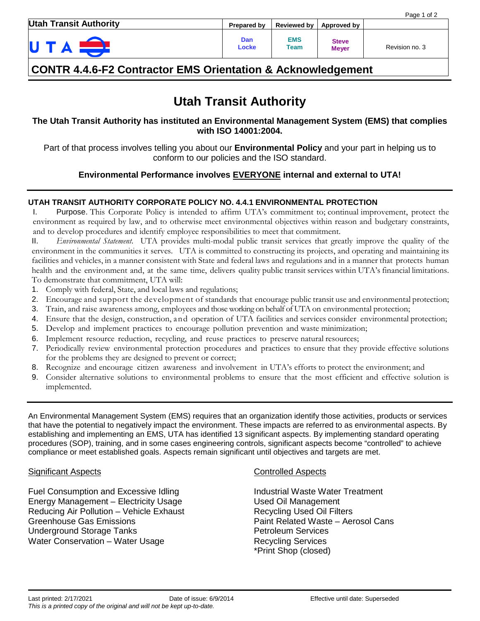| <b>Utah Transit Authority</b> | <b>Prepared by</b> | <b>Reviewed by</b> | Approved by                  |                |
|-------------------------------|--------------------|--------------------|------------------------------|----------------|
| U                             | Dan<br>Locke       | <b>EMS</b><br>Team | <b>Steve</b><br><b>Meyer</b> | Revision no. 3 |

# **CONTR 4.4.6-F2 Contractor EMS Orientation & Acknowledgement**

# **Utah Transit Authority**

**The Utah Transit Authority has instituted an Environmental Management System (EMS) that complies with ISO 14001:2004.**

Part of that process involves telling you about our **Environmental Policy** and your part in helping us to conform to our policies and the ISO standard.

## **Environmental Performance involves EVERYONE internal and external to UTA!**

## **UTAH TRANSIT AUTHORITY CORPORATE POLICY NO. 4.4.1 ENVIRONMENTAL PROTECTION**

I. Purpose. This Corporate Policy is intended to affirm UTA's commitment to; continual improvement, protect the environment as required by law, and to otherwise meet environmental objectives within reason and budgetary constraints, and to develop procedures and identify employee responsibilities to meet that commitment.

II. *Environmental Statement*. UTA provides multi-modal public transit services that greatly improve the quality of the environment in the communities it serves. UTA is committed to constructing its projects, and operating and maintaining its facilities and vehicles, in a manner consistent with State and federal laws and regulations and in a manner that protects human health and the environment and, at the same time, delivers quality public transit services within UTA's financial limitations. To demonstrate that commitment, UTA will:

- 1. Comply with federal, State, and local laws and regulations;
- 2. Encourage and support the development of standards that encourage public transit use and environmental protection;
- 3. Train, and raise awareness among, employees and those working on behalf of UTA on environmental protection;
- 4. Ensure that the design, construction, and operation of UTA facilities and services consider environmental protection;
- 5. Develop and implement practices to encourage pollution prevention and waste minimization;
- 6. Implement resource reduction, recycling, and reuse practices to preserve natural resources;
- 7. Periodically review environmental protection procedures and practices to ensure that they provide effective solutions for the problems they are designed to prevent or correct;
- 8. Recognize and encourage citizen awareness and involvement in UTA's efforts to protect the environment; and
- 9. Consider alternative solutions to environmental problems to ensure that the most efficient and effective solution is implemented.

An Environmental Management System (EMS) requires that an organization identify those activities, products or services that have the potential to negatively impact the environment. These impacts are referred to as environmental aspects. By establishing and implementing an EMS, UTA has identified 13 significant aspects. By implementing standard operating procedures (SOP), training, and in some cases engineering controls, significant aspects become "controlled" to achieve compliance or meet established goals. Aspects remain significant until objectives and targets are met.

## Significant Aspects **Controlled Aspects** Controlled Aspects

Fuel Consumption and Excessive Idling The Industrial Waste Water Treatment Energy Management – Electricity Usage The Mused Oil Management Reducing Air Pollution – Vehicle Exhaust Recycling Used Oil Filters Greenhouse Gas Emissions The Canada Cans Paint Related Waste – Aerosol Cans Underground Storage Tanks **Petroleum Services** Water Conservation – Water Usage Recycling Services

\*Print Shop (closed)